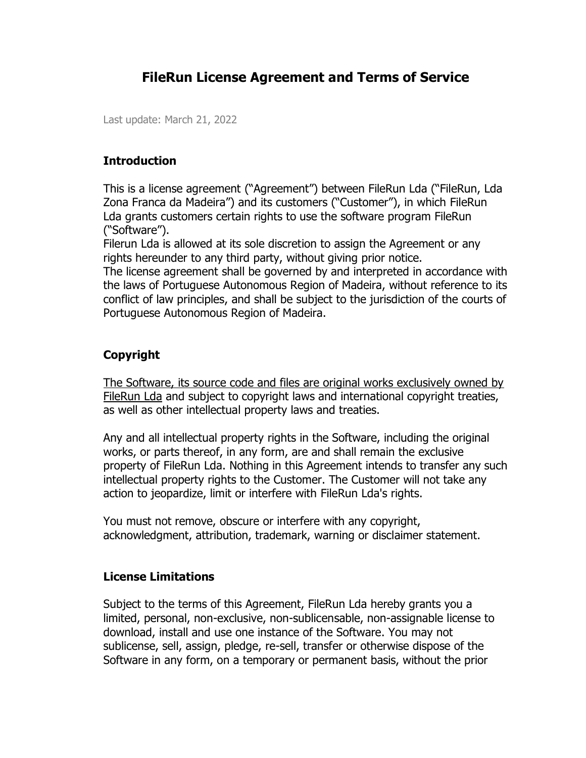# **FileRun License Agreement and Terms of Service**

Last update: March 21, 2022

#### **Introduction**

This is a license agreement ("Agreement") between FileRun Lda ("FileRun, Lda Zona Franca da Madeira") and its customers ("Customer"), in which FileRun Lda grants customers certain rights to use the software program FileRun ("Software").

Filerun Lda is allowed at its sole discretion to assign the Agreement or any rights hereunder to any third party, without giving prior notice.

The license agreement shall be governed by and interpreted in accordance with the laws of Portuguese Autonomous Region of Madeira, without reference to its conflict of law principles, and shall be subject to the jurisdiction of the courts of Portuguese Autonomous Region of Madeira.

### **Copyright**

The Software, its source code and files are original works exclusively owned by FileRun Lda and subject to copyright laws and international copyright treaties, as well as other intellectual property laws and treaties.

Any and all intellectual property rights in the Software, including the original works, or parts thereof, in any form, are and shall remain the exclusive property of FileRun Lda. Nothing in this Agreement intends to transfer any such intellectual property rights to the Customer. The Customer will not take any action to jeopardize, limit or interfere with FileRun Lda's rights.

You must not remove, obscure or interfere with any copyright, acknowledgment, attribution, trademark, warning or disclaimer statement.

#### **License Limitations**

Subject to the terms of this Agreement, FileRun Lda hereby grants you a limited, personal, non-exclusive, non-sublicensable, non-assignable license to download, install and use one instance of the Software. You may not sublicense, sell, assign, pledge, re-sell, transfer or otherwise dispose of the Software in any form, on a temporary or permanent basis, without the prior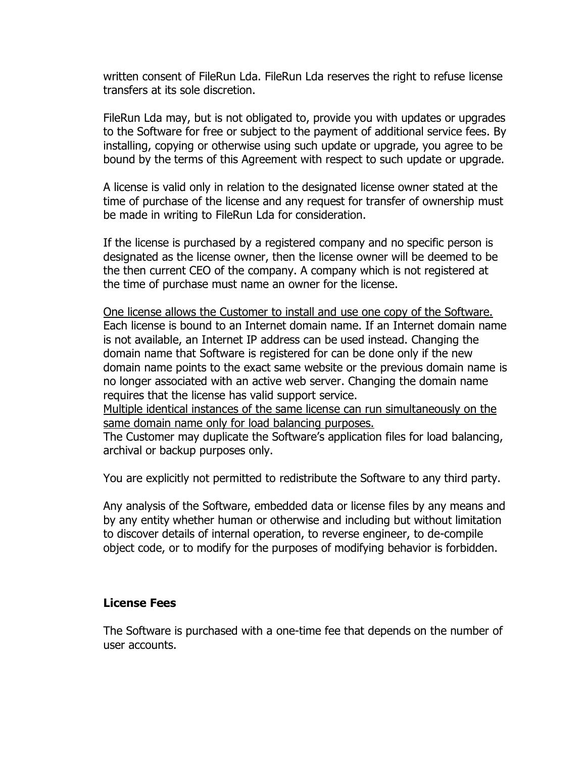written consent of FileRun Lda. FileRun Lda reserves the right to refuse license transfers at its sole discretion.

FileRun Lda may, but is not obligated to, provide you with updates or upgrades to the Software for free or subject to the payment of additional service fees. By installing, copying or otherwise using such update or upgrade, you agree to be bound by the terms of this Agreement with respect to such update or upgrade.

A license is valid only in relation to the designated license owner stated at the time of purchase of the license and any request for transfer of ownership must be made in writing to FileRun Lda for consideration.

If the license is purchased by a registered company and no specific person is designated as the license owner, then the license owner will be deemed to be the then current CEO of the company. A company which is not registered at the time of purchase must name an owner for the license.

One license allows the Customer to install and use one copy of the Software. Each license is bound to an Internet domain name. If an Internet domain name is not available, an Internet IP address can be used instead. Changing the domain name that Software is registered for can be done only if the new domain name points to the exact same website or the previous domain name is no longer associated with an active web server. Changing the domain name requires that the license has valid support service.

Multiple identical instances of the same license can run simultaneously on the same domain name only for load balancing purposes.

The Customer may duplicate the Software's application files for load balancing, archival or backup purposes only.

You are explicitly not permitted to redistribute the Software to any third party.

Any analysis of the Software, embedded data or license files by any means and by any entity whether human or otherwise and including but without limitation to discover details of internal operation, to reverse engineer, to de-compile object code, or to modify for the purposes of modifying behavior is forbidden.

#### **License Fees**

The Software is purchased with a one-time fee that depends on the number of user accounts.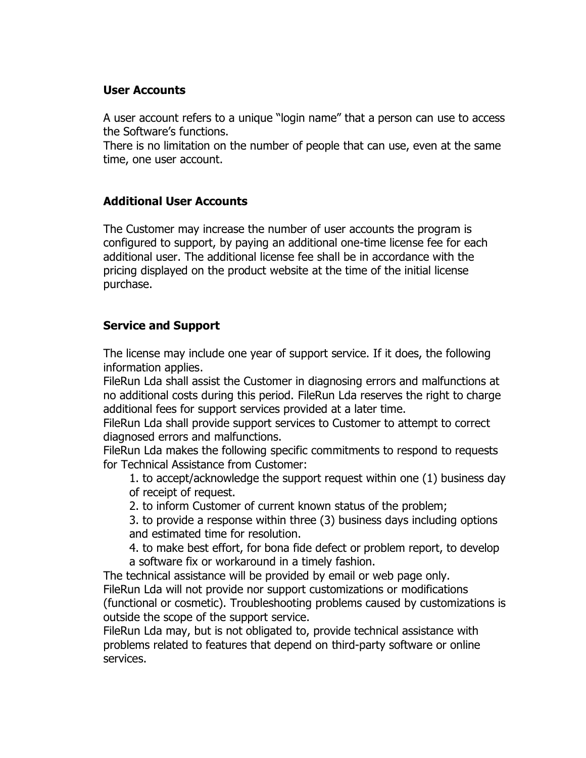### **User Accounts**

A user account refers to a unique "login name" that a person can use to access the Software's functions.

There is no limitation on the number of people that can use, even at the same time, one user account.

### **Additional User Accounts**

The Customer may increase the number of user accounts the program is configured to support, by paying an additional one-time license fee for each additional user. The additional license fee shall be in accordance with the pricing displayed on the product website at the time of the initial license purchase.

## **Service and Support**

The license may include one year of support service. If it does, the following information applies.

FileRun Lda shall assist the Customer in diagnosing errors and malfunctions at no additional costs during this period. FileRun Lda reserves the right to charge additional fees for support services provided at a later time.

FileRun Lda shall provide support services to Customer to attempt to correct diagnosed errors and malfunctions.

FileRun Lda makes the following specific commitments to respond to requests for Technical Assistance from Customer:

1. to accept/acknowledge the support request within one (1) business day of receipt of request.

2. to inform Customer of current known status of the problem;

3. to provide a response within three (3) business days including options and estimated time for resolution.

4. to make best effort, for bona fide defect or problem report, to develop a software fix or workaround in a timely fashion.

The technical assistance will be provided by email or web page only. FileRun Lda will not provide nor support customizations or modifications (functional or cosmetic). Troubleshooting problems caused by customizations is outside the scope of the support service.

FileRun Lda may, but is not obligated to, provide technical assistance with problems related to features that depend on third-party software or online services.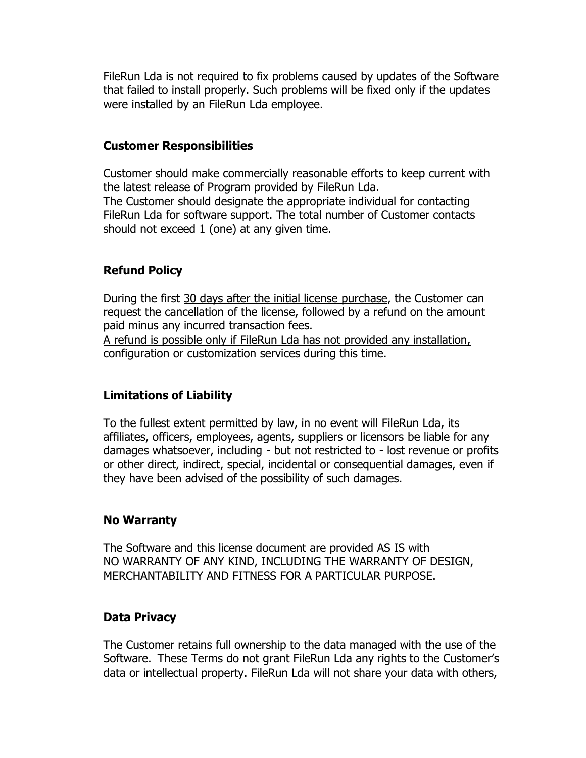FileRun Lda is not required to fix problems caused by updates of the Software that failed to install properly. Such problems will be fixed only if the updates were installed by an FileRun Lda employee.

### **Customer Responsibilities**

Customer should make commercially reasonable efforts to keep current with the latest release of Program provided by FileRun Lda. The Customer should designate the appropriate individual for contacting FileRun Lda for software support. The total number of Customer contacts should not exceed 1 (one) at any given time.

## **Refund Policy**

During the first 30 days after the initial license purchase, the Customer can request the cancellation of the license, followed by a refund on the amount paid minus any incurred transaction fees.

A refund is possible only if FileRun Lda has not provided any installation, configuration or customization services during this time.

# **Limitations of Liability**

To the fullest extent permitted by law, in no event will FileRun Lda, its affiliates, officers, employees, agents, suppliers or licensors be liable for any damages whatsoever, including - but not restricted to - lost revenue or profits or other direct, indirect, special, incidental or consequential damages, even if they have been advised of the possibility of such damages.

### **No Warranty**

The Software and this license document are provided AS IS with NO WARRANTY OF ANY KIND, INCLUDING THE WARRANTY OF DESIGN, MERCHANTABILITY AND FITNESS FOR A PARTICULAR PURPOSE.

# **Data Privacy**

The Customer retains full ownership to the data managed with the use of the Software. These Terms do not grant FileRun Lda any rights to the Customer's data or intellectual property. FileRun Lda will not share your data with others,